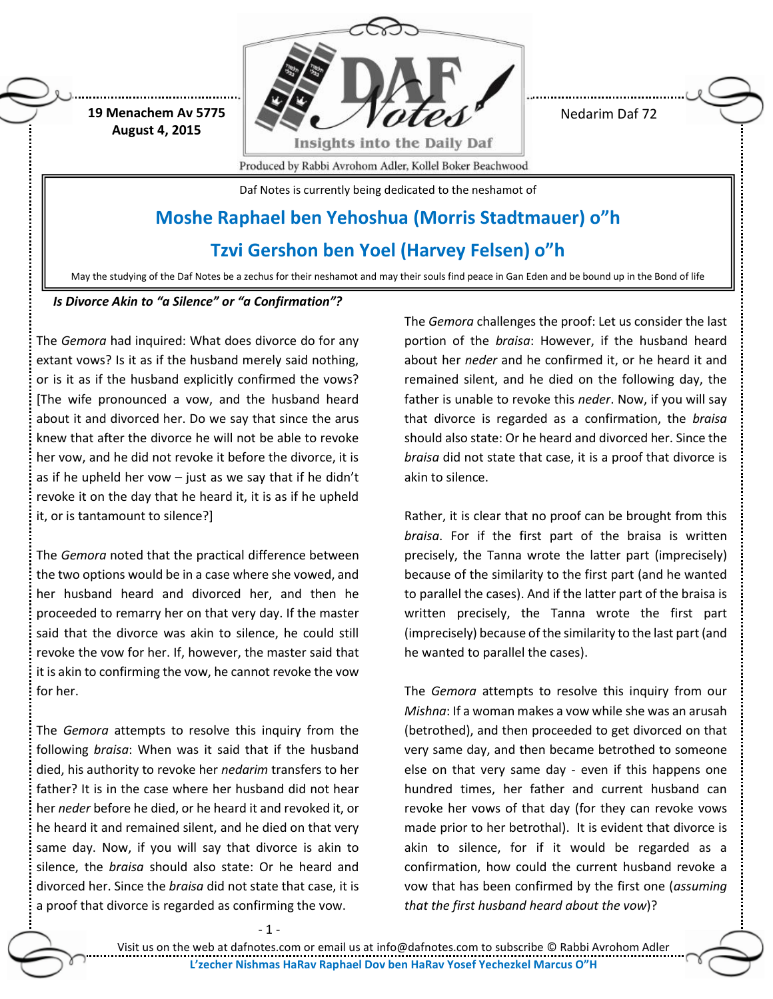

Nedarim Daf 72

Produced by Rabbi Avrohom Adler, Kollel Boker Beachwood

Daf Notes is currently being dedicated to the neshamot of

# **Moshe Raphael ben Yehoshua (Morris Stadtmauer) o"h**

### **Tzvi Gershon ben Yoel (Harvey Felsen) o"h**

May the studying of the Daf Notes be a zechus for their neshamot and may their souls find peace in Gan Eden and be bound up in the Bond of life

#### *Is Divorce Akin to "a Silence" or "a Confirmation"?*

**19 Menachem Av 5775 August 4, 2015**

The *Gemora* had inquired: What does divorce do for any extant vows? Is it as if the husband merely said nothing, or is it as if the husband explicitly confirmed the vows? [The wife pronounced a vow, and the husband heard about it and divorced her. Do we say that since the arus knew that after the divorce he will not be able to revoke her vow, and he did not revoke it before the divorce, it is as if he upheld her vow  $-$  just as we say that if he didn't revoke it on the day that he heard it, it is as if he upheld it, or is tantamount to silence?]

The *Gemora* noted that the practical difference between the two options would be in a case where she vowed, and her husband heard and divorced her, and then he proceeded to remarry her on that very day. If the master said that the divorce was akin to silence, he could still revoke the vow for her. If, however, the master said that it is akin to confirming the vow, he cannot revoke the vow for her.

The *Gemora* attempts to resolve this inquiry from the following *braisa*: When was it said that if the husband died, his authority to revoke her *nedarim* transfers to her father? It is in the case where her husband did not hear her *neder* before he died, or he heard it and revoked it, or he heard it and remained silent, and he died on that very same day. Now, if you will say that divorce is akin to silence, the *braisa* should also state: Or he heard and divorced her. Since the *braisa* did not state that case, it is a proof that divorce is regarded as confirming the vow.

The *Gemora* challenges the proof: Let us consider the last portion of the *braisa*: However, if the husband heard about her *neder* and he confirmed it, or he heard it and remained silent, and he died on the following day, the father is unable to revoke this *neder*. Now, if you will say that divorce is regarded as a confirmation, the *braisa* should also state: Or he heard and divorced her. Since the *braisa* did not state that case, it is a proof that divorce is akin to silence.

Rather, it is clear that no proof can be brought from this *braisa*. For if the first part of the braisa is written precisely, the Tanna wrote the latter part (imprecisely) because of the similarity to the first part (and he wanted to parallel the cases). And if the latter part of the braisa is written precisely, the Tanna wrote the first part (imprecisely) because of the similarity to the last part (and he wanted to parallel the cases).

The *Gemora* attempts to resolve this inquiry from our *Mishna*: If a woman makes a vow while she was an arusah (betrothed), and then proceeded to get divorced on that very same day, and then became betrothed to someone else on that very same day - even if this happens one hundred times, her father and current husband can revoke her vows of that day (for they can revoke vows made prior to her betrothal). It is evident that divorce is akin to silence, for if it would be regarded as a confirmation, how could the current husband revoke a vow that has been confirmed by the first one (*assuming that the first husband heard about the vow*)?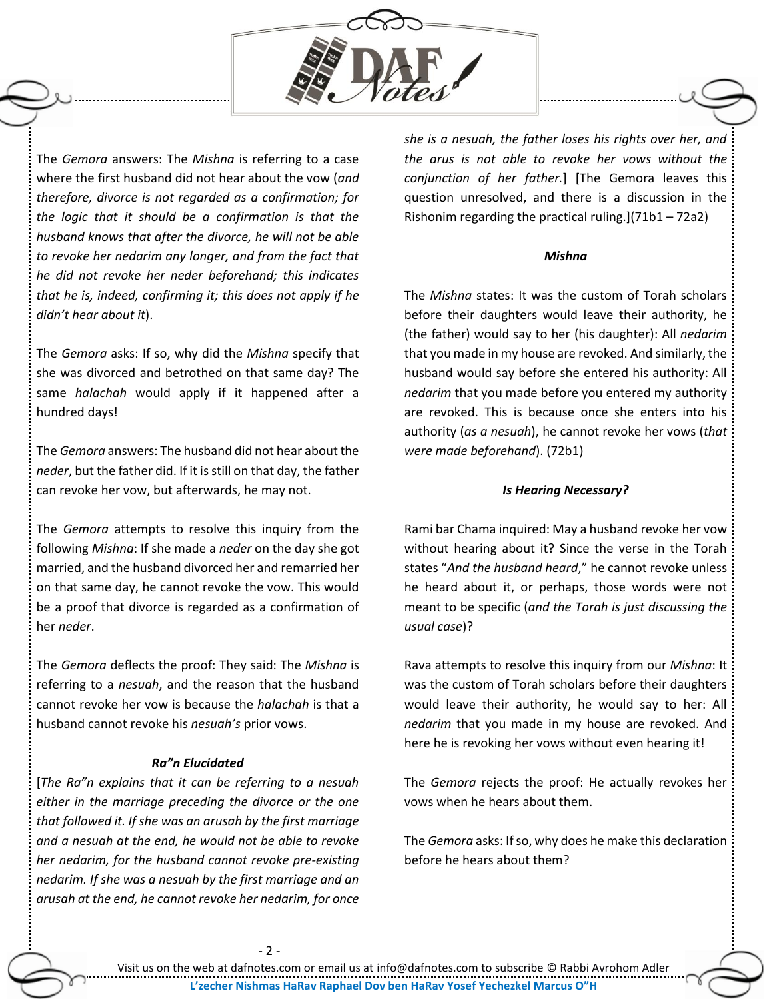

The *Gemora* answers: The *Mishna* is referring to a case where the first husband did not hear about the vow (*and therefore, divorce is not regarded as a confirmation; for the logic that it should be a confirmation is that the husband knows that after the divorce, he will not be able to revoke her nedarim any longer, and from the fact that he did not revoke her neder beforehand; this indicates that he is, indeed, confirming it; this does not apply if he didn't hear about it*).

The *Gemora* asks: If so, why did the *Mishna* specify that she was divorced and betrothed on that same day? The same *halachah* would apply if it happened after a hundred days!

The *Gemora* answers: The husband did not hear about the *neder*, but the father did. If it is still on that day, the father can revoke her vow, but afterwards, he may not.

The *Gemora* attempts to resolve this inquiry from the following *Mishna*: If she made a *neder* on the day she got married, and the husband divorced her and remarried her on that same day, he cannot revoke the vow. This would be a proof that divorce is regarded as a confirmation of her *neder*.

The *Gemora* deflects the proof: They said: The *Mishna* is referring to a *nesuah*, and the reason that the husband cannot revoke her vow is because the *halachah* is that a husband cannot revoke his *nesuah's* prior vows.

#### *Ra"n Elucidated*

[*The Ra"n explains that it can be referring to a nesuah either in the marriage preceding the divorce or the one that followed it. If she was an arusah by the first marriage and a nesuah at the end, he would not be able to revoke her nedarim, for the husband cannot revoke pre-existing nedarim. If she was a nesuah by the first marriage and an arusah at the end, he cannot revoke her nedarim, for once* 

*she is a nesuah, the father loses his rights over her, and the arus is not able to revoke her vows without the conjunction of her father.*] [The Gemora leaves this question unresolved, and there is a discussion in the Rishonim regarding the practical ruling.](71b1 – 72a2)

#### *Mishna*

The *Mishna* states: It was the custom of Torah scholars before their daughters would leave their authority, he (the father) would say to her (his daughter): All *nedarim* that you made in my house are revoked. And similarly, the husband would say before she entered his authority: All *nedarim* that you made before you entered my authority are revoked. This is because once she enters into his authority (*as a nesuah*), he cannot revoke her vows (*that were made beforehand*). (72b1)

#### *Is Hearing Necessary?*

Rami bar Chama inquired: May a husband revoke her vow without hearing about it? Since the verse in the Torah states "*And the husband heard*," he cannot revoke unless he heard about it, or perhaps, those words were not meant to be specific (*and the Torah is just discussing the usual case*)?

Rava attempts to resolve this inquiry from our *Mishna*: It was the custom of Torah scholars before their daughters would leave their authority, he would say to her: All *nedarim* that you made in my house are revoked. And here he is revoking her vows without even hearing it!

The *Gemora* rejects the proof: He actually revokes her vows when he hears about them.

The *Gemora* asks: If so, why does he make this declaration before he hears about them?

- 2 -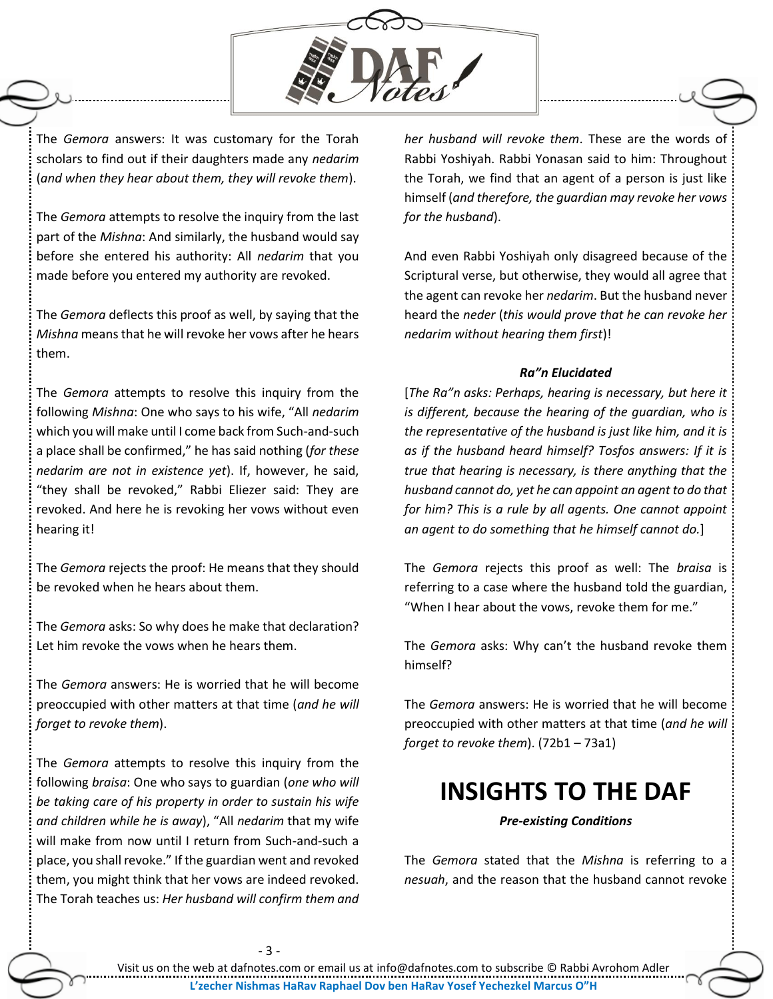

The *Gemora* answers: It was customary for the Torah scholars to find out if their daughters made any *nedarim* (*and when they hear about them, they will revoke them*).

The *Gemora* attempts to resolve the inquiry from the last part of the *Mishna*: And similarly, the husband would say before she entered his authority: All *nedarim* that you made before you entered my authority are revoked.

The *Gemora* deflects this proof as well, by saying that the *Mishna* means that he will revoke her vows after he hears them.

The *Gemora* attempts to resolve this inquiry from the following *Mishna*: One who says to his wife, "All *nedarim* which you will make until I come back from Such-and-such a place shall be confirmed," he has said nothing (*for these nedarim are not in existence yet*). If, however, he said, "they shall be revoked," Rabbi Eliezer said: They are revoked. And here he is revoking her vows without even hearing it!

The *Gemora* rejects the proof: He means that they should be revoked when he hears about them.

The *Gemora* asks: So why does he make that declaration? Let him revoke the vows when he hears them.

The *Gemora* answers: He is worried that he will become preoccupied with other matters at that time (*and he will forget to revoke them*).

The *Gemora* attempts to resolve this inquiry from the following *braisa*: One who says to guardian (*one who will be taking care of his property in order to sustain his wife and children while he is away*), "All *nedarim* that my wife will make from now until I return from Such-and-such a place, you shall revoke." If the guardian went and revoked them, you might think that her vows are indeed revoked. The Torah teaches us: *Her husband will confirm them and* 

*her husband will revoke them*. These are the words of Rabbi Yoshiyah. Rabbi Yonasan said to him: Throughout the Torah, we find that an agent of a person is just like himself (*and therefore, the guardian may revoke her vows for the husband*).

And even Rabbi Yoshiyah only disagreed because of the Scriptural verse, but otherwise, they would all agree that the agent can revoke her *nedarim*. But the husband never heard the *neder* (*this would prove that he can revoke her nedarim without hearing them first*)!

#### *Ra"n Elucidated*

[*The Ra"n asks: Perhaps, hearing is necessary, but here it is different, because the hearing of the guardian, who is the representative of the husband is just like him, and it is as if the husband heard himself? Tosfos answers: If it is true that hearing is necessary, is there anything that the husband cannot do, yet he can appoint an agent to do that for him? This is a rule by all agents. One cannot appoint an agent to do something that he himself cannot do.*]

The *Gemora* rejects this proof as well: The *braisa* is referring to a case where the husband told the guardian, "When I hear about the vows, revoke them for me."

The *Gemora* asks: Why can't the husband revoke them himself?

The *Gemora* answers: He is worried that he will become preoccupied with other matters at that time (*and he will forget to revoke them*). (72b1 – 73a1)

# **INSIGHTS TO THE DAF**

### *Pre-existing Conditions*

The *Gemora* stated that the *Mishna* is referring to a *nesuah*, and the reason that the husband cannot revoke

- 3 -